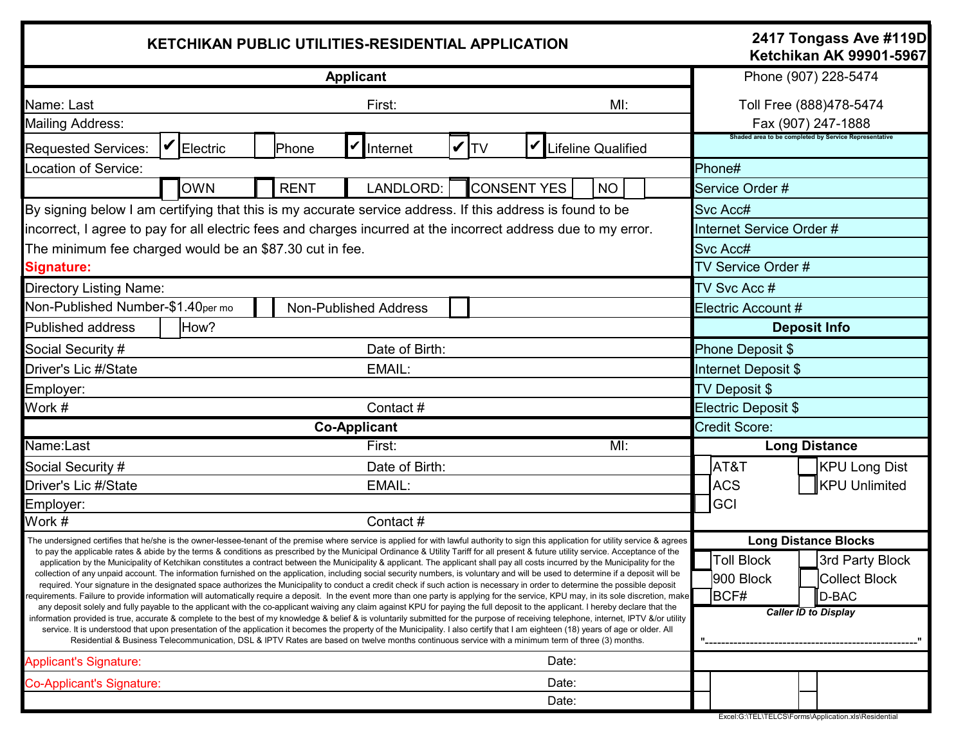| <b>KETCHIKAN PUBLIC UTILITIES-RESIDENTIAL APPLICATION</b>                                                                                                                                                                                                                                                                                                                                                                                                                                                                                                                                                                                                                                                                                                                                                                                                                                                                                                                                                                                                                                                                                                                                                                                                                                                                                                                                                                                                                                                                                                                                                                                                                                                                                                                                                                                                     |                                                                   |            |  |             |                     |  |          |                    |       |                           |          |                                                                                                                                                                 | 2417 Tongass Ave #119D<br><b>Ketchikan AK 99901-5967</b> |                                                       |  |
|---------------------------------------------------------------------------------------------------------------------------------------------------------------------------------------------------------------------------------------------------------------------------------------------------------------------------------------------------------------------------------------------------------------------------------------------------------------------------------------------------------------------------------------------------------------------------------------------------------------------------------------------------------------------------------------------------------------------------------------------------------------------------------------------------------------------------------------------------------------------------------------------------------------------------------------------------------------------------------------------------------------------------------------------------------------------------------------------------------------------------------------------------------------------------------------------------------------------------------------------------------------------------------------------------------------------------------------------------------------------------------------------------------------------------------------------------------------------------------------------------------------------------------------------------------------------------------------------------------------------------------------------------------------------------------------------------------------------------------------------------------------------------------------------------------------------------------------------------------------|-------------------------------------------------------------------|------------|--|-------------|---------------------|--|----------|--------------------|-------|---------------------------|----------|-----------------------------------------------------------------------------------------------------------------------------------------------------------------|----------------------------------------------------------|-------------------------------------------------------|--|
| <b>Applicant</b>                                                                                                                                                                                                                                                                                                                                                                                                                                                                                                                                                                                                                                                                                                                                                                                                                                                                                                                                                                                                                                                                                                                                                                                                                                                                                                                                                                                                                                                                                                                                                                                                                                                                                                                                                                                                                                              |                                                                   |            |  |             |                     |  |          |                    |       |                           |          | Phone (907) 228-5474<br>Toll Free (888)478-5474<br>Fax (907) 247-1888                                                                                           |                                                          |                                                       |  |
| First:<br>Name: Last<br>MI:<br><b>Mailing Address:</b>                                                                                                                                                                                                                                                                                                                                                                                                                                                                                                                                                                                                                                                                                                                                                                                                                                                                                                                                                                                                                                                                                                                                                                                                                                                                                                                                                                                                                                                                                                                                                                                                                                                                                                                                                                                                        |                                                                   |            |  |             |                     |  |          |                    |       |                           |          |                                                                                                                                                                 |                                                          |                                                       |  |
| <b>Requested Services:</b>                                                                                                                                                                                                                                                                                                                                                                                                                                                                                                                                                                                                                                                                                                                                                                                                                                                                                                                                                                                                                                                                                                                                                                                                                                                                                                                                                                                                                                                                                                                                                                                                                                                                                                                                                                                                                                    |                                                                   | Electric   |  | Phone       | V<br>Internet       |  | $ V $ tv |                    |       | Lifeline Qualified        |          |                                                                                                                                                                 |                                                          | Shaded area to be completed by Service Representative |  |
| Location of Service:                                                                                                                                                                                                                                                                                                                                                                                                                                                                                                                                                                                                                                                                                                                                                                                                                                                                                                                                                                                                                                                                                                                                                                                                                                                                                                                                                                                                                                                                                                                                                                                                                                                                                                                                                                                                                                          |                                                                   |            |  |             |                     |  |          |                    |       |                           |          | Phone#                                                                                                                                                          |                                                          |                                                       |  |
|                                                                                                                                                                                                                                                                                                                                                                                                                                                                                                                                                                                                                                                                                                                                                                                                                                                                                                                                                                                                                                                                                                                                                                                                                                                                                                                                                                                                                                                                                                                                                                                                                                                                                                                                                                                                                                                               |                                                                   | <b>OWN</b> |  | <b>RENT</b> | LANDLORD:           |  |          | <b>CONSENT YES</b> |       | <b>NO</b>                 |          |                                                                                                                                                                 | Service Order #                                          |                                                       |  |
| By signing below I am certifying that this is my accurate service address. If this address is found to be                                                                                                                                                                                                                                                                                                                                                                                                                                                                                                                                                                                                                                                                                                                                                                                                                                                                                                                                                                                                                                                                                                                                                                                                                                                                                                                                                                                                                                                                                                                                                                                                                                                                                                                                                     |                                                                   |            |  |             |                     |  |          |                    |       |                           | Svc Acc# |                                                                                                                                                                 |                                                          |                                                       |  |
| incorrect, I agree to pay for all electric fees and charges incurred at the incorrect address due to my error.                                                                                                                                                                                                                                                                                                                                                                                                                                                                                                                                                                                                                                                                                                                                                                                                                                                                                                                                                                                                                                                                                                                                                                                                                                                                                                                                                                                                                                                                                                                                                                                                                                                                                                                                                |                                                                   |            |  |             |                     |  |          |                    |       |                           |          | Internet Service Order #                                                                                                                                        |                                                          |                                                       |  |
| The minimum fee charged would be an \$87.30 cut in fee.                                                                                                                                                                                                                                                                                                                                                                                                                                                                                                                                                                                                                                                                                                                                                                                                                                                                                                                                                                                                                                                                                                                                                                                                                                                                                                                                                                                                                                                                                                                                                                                                                                                                                                                                                                                                       |                                                                   |            |  |             |                     |  |          |                    |       |                           |          | Svc Acc#                                                                                                                                                        |                                                          |                                                       |  |
| <b>Signature:</b>                                                                                                                                                                                                                                                                                                                                                                                                                                                                                                                                                                                                                                                                                                                                                                                                                                                                                                                                                                                                                                                                                                                                                                                                                                                                                                                                                                                                                                                                                                                                                                                                                                                                                                                                                                                                                                             |                                                                   |            |  |             |                     |  |          |                    |       |                           |          | TV Service Order #                                                                                                                                              |                                                          |                                                       |  |
| <b>Directory Listing Name:</b>                                                                                                                                                                                                                                                                                                                                                                                                                                                                                                                                                                                                                                                                                                                                                                                                                                                                                                                                                                                                                                                                                                                                                                                                                                                                                                                                                                                                                                                                                                                                                                                                                                                                                                                                                                                                                                |                                                                   |            |  |             |                     |  |          |                    |       |                           |          | TV Svc Acc #                                                                                                                                                    |                                                          |                                                       |  |
|                                                                                                                                                                                                                                                                                                                                                                                                                                                                                                                                                                                                                                                                                                                                                                                                                                                                                                                                                                                                                                                                                                                                                                                                                                                                                                                                                                                                                                                                                                                                                                                                                                                                                                                                                                                                                                                               | Non-Published Number-\$1.40per mo<br><b>Non-Published Address</b> |            |  |             |                     |  |          |                    |       |                           |          | Electric Account #                                                                                                                                              |                                                          |                                                       |  |
| <b>Published address</b>                                                                                                                                                                                                                                                                                                                                                                                                                                                                                                                                                                                                                                                                                                                                                                                                                                                                                                                                                                                                                                                                                                                                                                                                                                                                                                                                                                                                                                                                                                                                                                                                                                                                                                                                                                                                                                      | How?                                                              |            |  |             |                     |  |          |                    |       |                           |          | <b>Deposit Info</b>                                                                                                                                             |                                                          |                                                       |  |
| Social Security #                                                                                                                                                                                                                                                                                                                                                                                                                                                                                                                                                                                                                                                                                                                                                                                                                                                                                                                                                                                                                                                                                                                                                                                                                                                                                                                                                                                                                                                                                                                                                                                                                                                                                                                                                                                                                                             |                                                                   |            |  |             | Date of Birth:      |  |          |                    |       |                           |          | Phone Deposit \$                                                                                                                                                |                                                          |                                                       |  |
| Driver's Lic #/State<br>EMAIL:                                                                                                                                                                                                                                                                                                                                                                                                                                                                                                                                                                                                                                                                                                                                                                                                                                                                                                                                                                                                                                                                                                                                                                                                                                                                                                                                                                                                                                                                                                                                                                                                                                                                                                                                                                                                                                |                                                                   |            |  |             |                     |  |          |                    |       |                           |          | Internet Deposit \$                                                                                                                                             |                                                          |                                                       |  |
| Employer:                                                                                                                                                                                                                                                                                                                                                                                                                                                                                                                                                                                                                                                                                                                                                                                                                                                                                                                                                                                                                                                                                                                                                                                                                                                                                                                                                                                                                                                                                                                                                                                                                                                                                                                                                                                                                                                     |                                                                   |            |  |             |                     |  |          |                    |       |                           |          | TV Deposit \$                                                                                                                                                   |                                                          |                                                       |  |
| Work #                                                                                                                                                                                                                                                                                                                                                                                                                                                                                                                                                                                                                                                                                                                                                                                                                                                                                                                                                                                                                                                                                                                                                                                                                                                                                                                                                                                                                                                                                                                                                                                                                                                                                                                                                                                                                                                        |                                                                   |            |  |             | Contact#            |  |          |                    |       |                           |          | Electric Deposit \$                                                                                                                                             |                                                          |                                                       |  |
|                                                                                                                                                                                                                                                                                                                                                                                                                                                                                                                                                                                                                                                                                                                                                                                                                                                                                                                                                                                                                                                                                                                                                                                                                                                                                                                                                                                                                                                                                                                                                                                                                                                                                                                                                                                                                                                               |                                                                   |            |  |             | <b>Co-Applicant</b> |  |          |                    |       |                           |          | <b>Credit Score:</b>                                                                                                                                            |                                                          |                                                       |  |
| Name:Last                                                                                                                                                                                                                                                                                                                                                                                                                                                                                                                                                                                                                                                                                                                                                                                                                                                                                                                                                                                                                                                                                                                                                                                                                                                                                                                                                                                                                                                                                                                                                                                                                                                                                                                                                                                                                                                     |                                                                   |            |  |             | First:              |  |          |                    |       | $\overline{\mathsf{M}}$ : |          |                                                                                                                                                                 |                                                          | <b>Long Distance</b>                                  |  |
| Social Security #                                                                                                                                                                                                                                                                                                                                                                                                                                                                                                                                                                                                                                                                                                                                                                                                                                                                                                                                                                                                                                                                                                                                                                                                                                                                                                                                                                                                                                                                                                                                                                                                                                                                                                                                                                                                                                             | Date of Birth:                                                    |            |  |             |                     |  |          |                    |       |                           |          | AT&T                                                                                                                                                            | <b>KPU Long Dist</b>                                     |                                                       |  |
| Driver's Lic #/State                                                                                                                                                                                                                                                                                                                                                                                                                                                                                                                                                                                                                                                                                                                                                                                                                                                                                                                                                                                                                                                                                                                                                                                                                                                                                                                                                                                                                                                                                                                                                                                                                                                                                                                                                                                                                                          | EMAIL:                                                            |            |  |             |                     |  |          |                    |       |                           |          |                                                                                                                                                                 | <b>ACS</b>                                               | <b>KPU Unlimited</b>                                  |  |
| Employer:                                                                                                                                                                                                                                                                                                                                                                                                                                                                                                                                                                                                                                                                                                                                                                                                                                                                                                                                                                                                                                                                                                                                                                                                                                                                                                                                                                                                                                                                                                                                                                                                                                                                                                                                                                                                                                                     |                                                                   |            |  |             |                     |  |          |                    |       |                           |          |                                                                                                                                                                 | <b>GCI</b>                                               |                                                       |  |
| Work #<br>Contact#                                                                                                                                                                                                                                                                                                                                                                                                                                                                                                                                                                                                                                                                                                                                                                                                                                                                                                                                                                                                                                                                                                                                                                                                                                                                                                                                                                                                                                                                                                                                                                                                                                                                                                                                                                                                                                            |                                                                   |            |  |             |                     |  |          |                    |       |                           |          |                                                                                                                                                                 |                                                          |                                                       |  |
| The undersigned certifies that he/she is the owner-lessee-tenant of the premise where service is applied for with lawful authority to sign this application for utility service & agrees<br>to pay the applicable rates & abide by the terms & conditions as prescribed by the Municipal Ordinance & Utility Tariff for all present & future utility service. Acceptance of the<br>application by the Municipality of Ketchikan constitutes a contract between the Municipality & applicant. The applicant shall pay all costs incurred by the Municipality for the<br>collection of any unpaid account. The information furnished on the application, including social security numbers, is voluntary and will be used to determine if a deposit will be<br>required. Your signature in the designated space authorizes the Municipality to conduct a credit check if such action is necessary in order to determine the possible deposit<br>requirements. Failure to provide information will automatically require a deposit. In the event more than one party is applying for the service, KPU may, in its sole discretion, make<br>any deposit solely and fully payable to the applicant with the co-applicant waiving any claim against KPU for paying the full deposit to the applicant. I hereby declare that the<br>information provided is true, accurate & complete to the best of my knowledge & belief & is voluntarily submitted for the purpose of receiving telephone, internet, IPTV &/or utility<br>service. It is understood that upon presentation of the application it becomes the property of the Municipality. I also certify that I am eighteen (18) years of age or older. All<br>Residential & Business Telecommunication, DSL & IPTV Rates are based on twelve months continuous service with a minimum term of three (3) months. |                                                                   |            |  |             |                     |  |          |                    |       |                           |          | <b>Long Distance Blocks</b><br><b>Toll Block</b><br>3rd Party Block<br>900 Block<br><b>Collect Block</b><br><b>BCF#</b><br>D-BAC<br><b>Caller ID to Display</b> |                                                          |                                                       |  |
| Date:<br><b>Applicant's Signature:</b>                                                                                                                                                                                                                                                                                                                                                                                                                                                                                                                                                                                                                                                                                                                                                                                                                                                                                                                                                                                                                                                                                                                                                                                                                                                                                                                                                                                                                                                                                                                                                                                                                                                                                                                                                                                                                        |                                                                   |            |  |             |                     |  |          |                    |       |                           |          |                                                                                                                                                                 |                                                          |                                                       |  |
| Co-Applicant's Signature:                                                                                                                                                                                                                                                                                                                                                                                                                                                                                                                                                                                                                                                                                                                                                                                                                                                                                                                                                                                                                                                                                                                                                                                                                                                                                                                                                                                                                                                                                                                                                                                                                                                                                                                                                                                                                                     |                                                                   |            |  |             |                     |  |          |                    | Date: |                           |          |                                                                                                                                                                 |                                                          |                                                       |  |
|                                                                                                                                                                                                                                                                                                                                                                                                                                                                                                                                                                                                                                                                                                                                                                                                                                                                                                                                                                                                                                                                                                                                                                                                                                                                                                                                                                                                                                                                                                                                                                                                                                                                                                                                                                                                                                                               |                                                                   |            |  |             |                     |  |          |                    | Date: |                           |          |                                                                                                                                                                 |                                                          |                                                       |  |